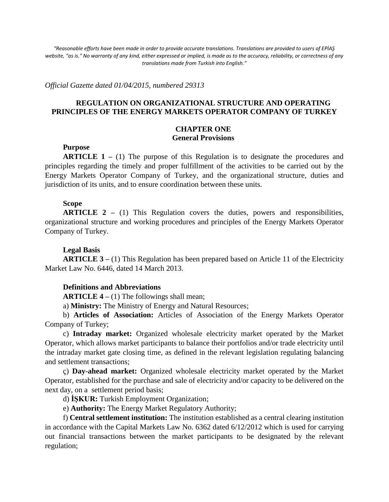*"Reasonable efforts have been made in order to provide accurate translations. Translations are provided to users of EPİAŞ website, "as is." No warranty of any kind, either expressed or implied, is made as to the accuracy, reliability, or correctness of any translations made from Turkish into English."*

*Official Gazette dated 01/04/2015, numbered 29313*

## **REGULATION ON ORGANIZATIONAL STRUCTURE AND OPERATING PRINCIPLES OF THE ENERGY MARKETS OPERATOR COMPANY OF TURKEY**

## **CHAPTER ONE General Provisions**

#### **Purpose**

**ARTICLE 1 –** (1) The purpose of this Regulation is to designate the procedures and principles regarding the timely and proper fulfillment of the activities to be carried out by the Energy Markets Operator Company of Turkey, and the organizational structure, duties and jurisdiction of its units, and to ensure coordination between these units.

#### **Scope**

**ARTICLE 2 –** (1) This Regulation covers the duties, powers and responsibilities, organizational structure and working procedures and principles of the Energy Markets Operator Company of Turkey.

### **Legal Basis**

**ARTICLE 3 –** (1) This Regulation has been prepared based on Article 11 of the Electricity Market Law No. 6446, dated 14 March 2013.

### **Definitions and Abbreviations**

**ARTICLE 4 –** (1) The followings shall mean;

a) **Ministry:** The Ministry of Energy and Natural Resources;

b) **Articles of Association:** Articles of Association of the Energy Markets Operator Company of Turkey;

c) **Intraday market:** Organized wholesale electricity market operated by the Market Operator, which allows market participants to balance their portfolios and/or trade electricity until the intraday market gate closing time, as defined in the relevant legislation regulating balancing and settlement transactions;

ç) **Day-ahead market:** Organized wholesale electricity market operated by the Market Operator, established for the purchase and sale of electricity and/or capacity to be delivered on the next day, on a settlement period basis;

d) **İŞKUR:** Turkish Employment Organization;

e) **Authority:** The Energy Market Regulatory Authority;

f) **Central settlement institution:** The institution established as a central clearing institution in accordance with the Capital Markets Law No. 6362 dated 6/12/2012 which is used for carrying out financial transactions between the market participants to be designated by the relevant regulation;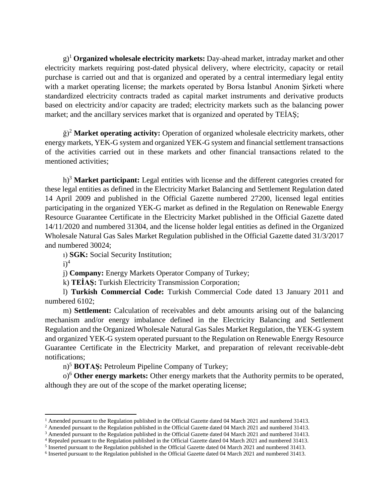g)<sup>1</sup> **Organized wholesale electricity markets:** Day-ahead market, intraday market and other electricity markets requiring post-dated physical delivery, where electricity, capacity or retail purchase is carried out and that is organized and operated by a central intermediary legal entity with a market operating license; the markets operated by Borsa Istanbul Anonim Şirketi where standardized electricity contracts traded as capital market instruments and derivative products based on electricity and/or capacity are traded; electricity markets such as the balancing power market; and the ancillary services market that is organized and operated by TEİAŞ;

ğ)<sup>2</sup> **Market operating activity:** Operation of organized wholesale electricity markets, other energy markets, YEK-G system and organized YEK-G system and financial settlement transactions of the activities carried out in these markets and other financial transactions related to the mentioned activities;

h)<sup>3</sup> **Market participant:** Legal entities with license and the different categories created for these legal entities as defined in the Electricity Market Balancing and Settlement Regulation dated 14 April 2009 and published in the Official Gazette numbered 27200, licensed legal entities participating in the organized YEK-G market as defined in the Regulation on Renewable Energy Resource Guarantee Certificate in the Electricity Market published in the Official Gazette dated 14/11/2020 and numbered 31304, and the license holder legal entities as defined in the Organized Wholesale Natural Gas Sales Market Regulation published in the Official Gazette dated 31/3/2017 and numbered 30024;

ı) **SGK:** Social Security Institution;

 $i$ <sup>4</sup>

 $\overline{a}$ 

j) **Company:** Energy Markets Operator Company of Turkey;

k) **TEİAŞ:** Turkish Electricity Transmission Corporation;

l) **Turkish Commercial Code:** Turkish Commercial Code dated 13 January 2011 and numbered 6102;

m) **Settlement:** Calculation of receivables and debt amounts arising out of the balancing mechanism and/or energy imbalance defined in the Electricity Balancing and Settlement Regulation and the Organized Wholesale Natural Gas Sales Market Regulation, the YEK-G system and organized YEK-G system operated pursuant to the Regulation on Renewable Energy Resource Guarantee Certificate in the Electricity Market, and preparation of relevant receivable-debt notifications;

n)<sup>5</sup> **BOTAŞ:** Petroleum Pipeline Company of Turkey;

o)<sup>6</sup> **Other energy markets:** Other energy markets that the Authority permits to be operated, although they are out of the scope of the market operating license;

<sup>&</sup>lt;sup>1</sup> Amended pursuant to the Regulation published in the Official Gazette dated 04 March 2021 and numbered 31413.

<sup>&</sup>lt;sup>2</sup> Amended pursuant to the Regulation published in the Official Gazette dated 04 March 2021 and numbered 31413.

<sup>&</sup>lt;sup>3</sup> Amended pursuant to the Regulation published in the Official Gazette dated 04 March 2021 and numbered 31413.

<sup>4</sup> Repealed pursuant to the Regulation published in the Official Gazette dated 04 March 2021 and numbered 31413.

<sup>&</sup>lt;sup>5</sup> Inserted pursuant to the Regulation published in the Official Gazette dated 04 March 2021 and numbered 31413.

<sup>6</sup> Inserted pursuant to the Regulation published in the Official Gazette dated 04 March 2021 and numbered 31413.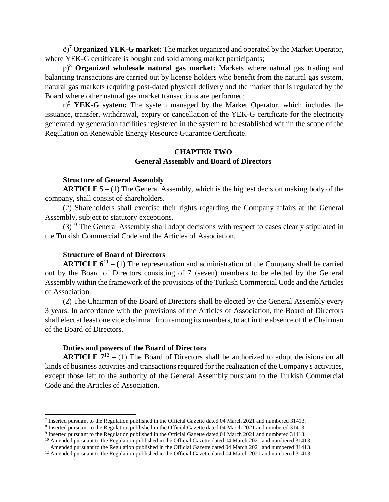ö)<sup>7</sup> **Organized YEK-G market:** The market organized and operated by the Market Operator, where YEK-G certificate is bought and sold among market participants;

p)<sup>8</sup> **Organized wholesale natural gas market:** Markets where natural gas trading and balancing transactions are carried out by license holders who benefit from the natural gas system, natural gas markets requiring post-dated physical delivery and the market that is regulated by the Board where other natural gas market transactions are performed;

r)<sup>9</sup> **YEK-G system:** The system managed by the Market Operator, which includes the issuance, transfer, withdrawal, expiry or cancellation of the YEK-G certificate for the electricity generated by generation facilities registered in the system to be established within the scope of the Regulation on Renewable Energy Resource Guarantee Certificate.

# **CHAPTER TWO General Assembly and Board of Directors**

### **Structure of General Assembly**

**ARTICLE 5 –** (1) The General Assembly, which is the highest decision making body of the company, shall consist of shareholders.

(2) Shareholders shall exercise their rights regarding the Company affairs at the General Assembly, subject to statutory exceptions.

 $(3)^{10}$  The General Assembly shall adopt decisions with respect to cases clearly stipulated in the Turkish Commercial Code and the Articles of Association.

### **Structure of Board of Directors**

 $\overline{a}$ 

**ARTICLE**  $6^{11} - (1)$  **The representation and administration of the Company shall be carried** out by the Board of Directors consisting of 7 (seven) members to be elected by the General Assembly within the framework of the provisions of the Turkish Commercial Code and the Articles of Association.

(2) The Chairman of the Board of Directors shall be elected by the General Assembly every 3 years. In accordance with the provisions of the Articles of Association, the Board of Directors shall elect at least one vice chairman from among its members, to act in the absence of the Chairman of the Board of Directors.

## **Duties and powers of the Board of Directors**

**ARTICLE**  $7^{12} - (1)$  The Board of Directors shall be authorized to adopt decisions on all kinds of business activities and transactions required for the realization of the Company's activities, except those left to the authority of the General Assembly pursuant to the Turkish Commercial Code and the Articles of Association.

<sup>&</sup>lt;sup>7</sup> Inserted pursuant to the Regulation published in the Official Gazette dated 04 March 2021 and numbered 31413.

<sup>&</sup>lt;sup>8</sup> Inserted pursuant to the Regulation published in the Official Gazette dated 04 March 2021 and numbered 31413.

<sup>&</sup>lt;sup>9</sup> Inserted pursuant to the Regulation published in the Official Gazette dated 04 March 2021 and numbered 31413.

 $10$  Amended pursuant to the Regulation published in the Official Gazette dated 04 March 2021 and numbered 31413.

<sup>&</sup>lt;sup>11</sup> Amended pursuant to the Regulation published in the Official Gazette dated 04 March 2021 and numbered 31413.

<sup>&</sup>lt;sup>12</sup> Amended pursuant to the Regulation published in the Official Gazette dated 04 March 2021 and numbered 31413.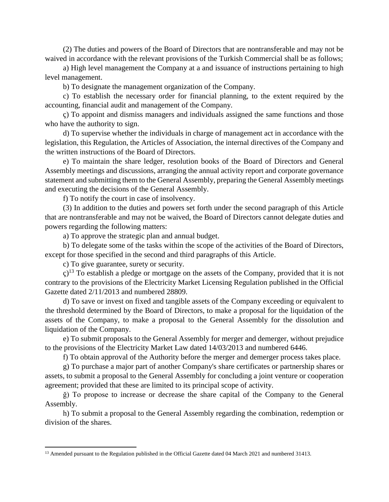(2) The duties and powers of the Board of Directors that are nontransferable and may not be waived in accordance with the relevant provisions of the Turkish Commercial shall be as follows;

a) High level management the Company at a and issuance of instructions pertaining to high level management.

b) To designate the management organization of the Company.

c) To establish the necessary order for financial planning, to the extent required by the accounting, financial audit and management of the Company.

ç) To appoint and dismiss managers and individuals assigned the same functions and those who have the authority to sign.

d) To supervise whether the individuals in charge of management act in accordance with the legislation, this Regulation, the Articles of Association, the internal directives of the Company and the written instructions of the Board of Directors.

e) To maintain the share ledger, resolution books of the Board of Directors and General Assembly meetings and discussions, arranging the annual activity report and corporate governance statement and submitting them to the General Assembly, preparing the General Assembly meetings and executing the decisions of the General Assembly.

f) To notify the court in case of insolvency.

(3) In addition to the duties and powers set forth under the second paragraph of this Article that are nontransferable and may not be waived, the Board of Directors cannot delegate duties and powers regarding the following matters:

a) To approve the strategic plan and annual budget.

b) To delegate some of the tasks within the scope of the activities of the Board of Directors, except for those specified in the second and third paragraphs of this Article.

c) To give guarantee, surety or security.

 $\overline{a}$ 

ç)<sup>13</sup> To establish a pledge or mortgage on the assets of the Company, provided that it is not contrary to the provisions of the Electricity Market Licensing Regulation published in the Official Gazette dated 2/11/2013 and numbered 28809.

d) To save or invest on fixed and tangible assets of the Company exceeding or equivalent to the threshold determined by the Board of Directors, to make a proposal for the liquidation of the assets of the Company, to make a proposal to the General Assembly for the dissolution and liquidation of the Company.

e) To submit proposals to the General Assembly for merger and demerger, without prejudice to the provisions of the Electricity Market Law dated 14/03/2013 and numbered 6446.

f) To obtain approval of the Authority before the merger and demerger process takes place.

g) To purchase a major part of another Company's share certificates or partnership shares or assets, to submit a proposal to the General Assembly for concluding a joint venture or cooperation agreement; provided that these are limited to its principal scope of activity.

ğ) To propose to increase or decrease the share capital of the Company to the General Assembly.

h) To submit a proposal to the General Assembly regarding the combination, redemption or division of the shares.

<sup>&</sup>lt;sup>13</sup> Amended pursuant to the Regulation published in the Official Gazette dated 04 March 2021 and numbered 31413.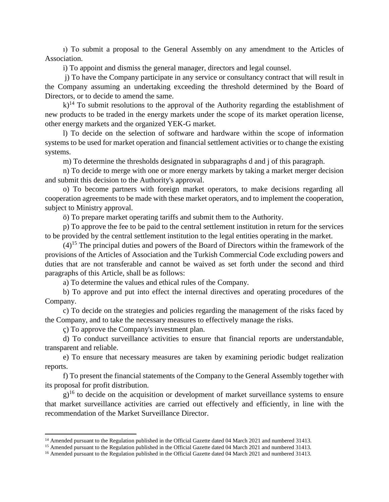ı) To submit a proposal to the General Assembly on any amendment to the Articles of Association.

i) To appoint and dismiss the general manager, directors and legal counsel.

j) To have the Company participate in any service or consultancy contract that will result in the Company assuming an undertaking exceeding the threshold determined by the Board of Directors, or to decide to amend the same.

 $k$ <sup>14</sup> To submit resolutions to the approval of the Authority regarding the establishment of new products to be traded in the energy markets under the scope of its market operation license, other energy markets and the organized YEK-G market.

l) To decide on the selection of software and hardware within the scope of information systems to be used for market operation and financial settlement activities or to change the existing systems.

m) To determine the thresholds designated in subparagraphs d and j of this paragraph.

n) To decide to merge with one or more energy markets by taking a market merger decision and submit this decision to the Authority's approval.

o) To become partners with foreign market operators, to make decisions regarding all cooperation agreements to be made with these market operators, and to implement the cooperation, subject to Ministry approval.

ö) To prepare market operating tariffs and submit them to the Authority.

p) To approve the fee to be paid to the central settlement institution in return for the services to be provided by the central settlement institution to the legal entities operating in the market.

 $(4)$ <sup>15</sup> The principal duties and powers of the Board of Directors within the framework of the provisions of the Articles of Association and the Turkish Commercial Code excluding powers and duties that are not transferable and cannot be waived as set forth under the second and third paragraphs of this Article, shall be as follows:

a) To determine the values and ethical rules of the Company.

b) To approve and put into effect the internal directives and operating procedures of the Company.

c) To decide on the strategies and policies regarding the management of the risks faced by the Company, and to take the necessary measures to effectively manage the risks.

ç) To approve the Company's investment plan.

 $\overline{a}$ 

d) To conduct surveillance activities to ensure that financial reports are understandable, transparent and reliable.

e) To ensure that necessary measures are taken by examining periodic budget realization reports.

f) To present the financial statements of the Company to the General Assembly together with its proposal for profit distribution.

 $g$ <sup>16</sup> to decide on the acquisition or development of market surveillance systems to ensure that market surveillance activities are carried out effectively and efficiently, in line with the recommendation of the Market Surveillance Director.

<sup>&</sup>lt;sup>14</sup> Amended pursuant to the Regulation published in the Official Gazette dated 04 March 2021 and numbered 31413.

<sup>&</sup>lt;sup>15</sup> Amended pursuant to the Regulation published in the Official Gazette dated 04 March 2021 and numbered 31413.

<sup>&</sup>lt;sup>16</sup> Amended pursuant to the Regulation published in the Official Gazette dated 04 March 2021 and numbered 31413.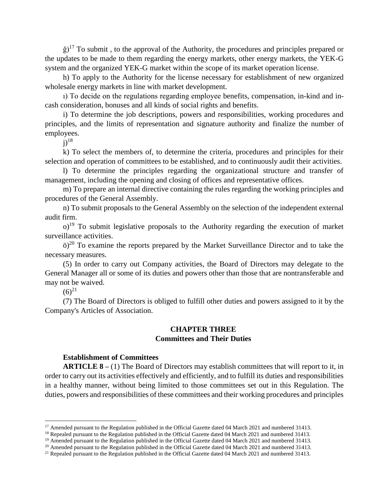$\check{g}$ <sup>17</sup> To submit, to the approval of the Authority, the procedures and principles prepared or the updates to be made to them regarding the energy markets, other energy markets, the YEK-G system and the organized YEK-G market within the scope of its market operation license.

h) To apply to the Authority for the license necessary for establishment of new organized wholesale energy markets in line with market development.

ı) To decide on the regulations regarding employee benefits, compensation, in-kind and incash consideration, bonuses and all kinds of social rights and benefits.

i) To determine the job descriptions, powers and responsibilities, working procedures and principles, and the limits of representation and signature authority and finalize the number of employees.

 $i)$ <sup>18</sup>

k) To select the members of, to determine the criteria, procedures and principles for their selection and operation of committees to be established, and to continuously audit their activities.

l) To determine the principles regarding the organizational structure and transfer of management, including the opening and closing of offices and representative offices.

m) To prepare an internal directive containing the rules regarding the working principles and procedures of the General Assembly.

n) To submit proposals to the General Assembly on the selection of the independent external audit firm.

 $o$ <sup>19</sup> To submit legislative proposals to the Authority regarding the execution of market surveillance activities.

 $\ddot{\text{o}}$ <sup>20</sup> To examine the reports prepared by the Market Surveillance Director and to take the necessary measures.

(5) In order to carry out Company activities, the Board of Directors may delegate to the General Manager all or some of its duties and powers other than those that are nontransferable and may not be waived.

 $(6)^{21}$ 

 $\overline{a}$ 

(7) The Board of Directors is obliged to fulfill other duties and powers assigned to it by the Company's Articles of Association.

# **CHAPTER THREE Committees and Their Duties**

## **Establishment of Committees**

**ARTICLE 8 –** (1) The Board of Directors may establish committees that will report to it, in order to carry out its activities effectively and efficiently, and to fulfill its duties and responsibilities in a healthy manner, without being limited to those committees set out in this Regulation. The duties, powers and responsibilities of these committees and their working procedures and principles

<sup>&</sup>lt;sup>17</sup> Amended pursuant to the Regulation published in the Official Gazette dated 04 March 2021 and numbered 31413.

<sup>&</sup>lt;sup>18</sup> Repealed pursuant to the Regulation published in the Official Gazette dated 04 March 2021 and numbered 31413.

<sup>&</sup>lt;sup>19</sup> Amended pursuant to the Regulation published in the Official Gazette dated 04 March 2021 and numbered 31413.

<sup>&</sup>lt;sup>20</sup> Amended pursuant to the Regulation published in the Official Gazette dated 04 March 2021 and numbered 31413.

<sup>&</sup>lt;sup>21</sup> Repealed pursuant to the Regulation published in the Official Gazette dated 04 March 2021 and numbered 31413.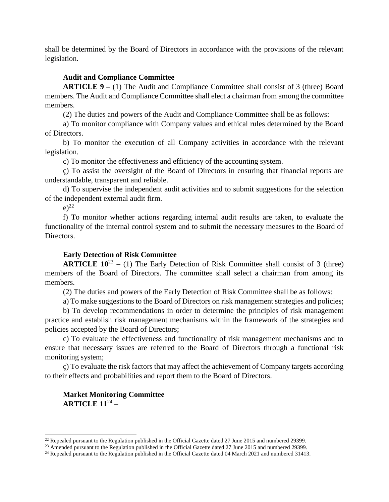shall be determined by the Board of Directors in accordance with the provisions of the relevant legislation.

# **Audit and Compliance Committee**

**ARTICLE 9 –** (1) The Audit and Compliance Committee shall consist of 3 (three) Board members. The Audit and Compliance Committee shall elect a chairman from among the committee members.

(2) The duties and powers of the Audit and Compliance Committee shall be as follows:

a) To monitor compliance with Company values and ethical rules determined by the Board of Directors.

b) To monitor the execution of all Company activities in accordance with the relevant legislation.

c) To monitor the effectiveness and efficiency of the accounting system.

ç) To assist the oversight of the Board of Directors in ensuring that financial reports are understandable, transparent and reliable.

d) To supervise the independent audit activities and to submit suggestions for the selection of the independent external audit firm.

 $e^{2^2}$ 

 $\overline{a}$ 

f) To monitor whether actions regarding internal audit results are taken, to evaluate the functionality of the internal control system and to submit the necessary measures to the Board of Directors.

## **Early Detection of Risk Committee**

**ARTICLE**  $10^{23}$  – (1) The Early Detection of Risk Committee shall consist of 3 (three) members of the Board of Directors. The committee shall select a chairman from among its members.

(2) The duties and powers of the Early Detection of Risk Committee shall be as follows:

a) To make suggestions to the Board of Directors on risk management strategies and policies;

b) To develop recommendations in order to determine the principles of risk management practice and establish risk management mechanisms within the framework of the strategies and policies accepted by the Board of Directors;

c) To evaluate the effectiveness and functionality of risk management mechanisms and to ensure that necessary issues are referred to the Board of Directors through a functional risk monitoring system;

ç) To evaluate the risk factors that may affect the achievement of Company targets according to their effects and probabilities and report them to the Board of Directors.

# **Market Monitoring Committee ARTICLE 11**<sup>24</sup> –

<sup>&</sup>lt;sup>22</sup> Repealed pursuant to the Regulation published in the Official Gazette dated  $27$  June 2015 and numbered 29399.

<sup>&</sup>lt;sup>23</sup> Amended pursuant to the Regulation published in the Official Gazette dated 27 June 2015 and numbered 29399.

<sup>&</sup>lt;sup>24</sup> Repealed pursuant to the Regulation published in the Official Gazette dated 04 March 2021 and numbered 31413.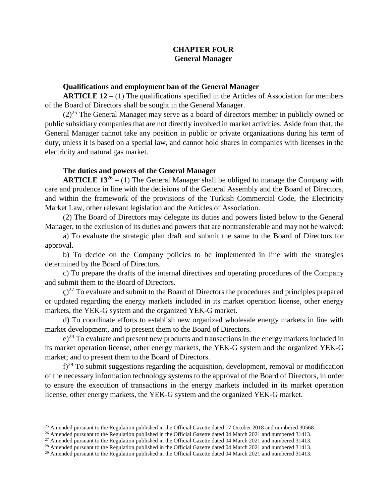# **CHAPTER FOUR General Manager**

#### **Qualifications and employment ban of the General Manager**

**ARTICLE 12 –** (1) The qualifications specified in the Articles of Association for members of the Board of Directors shall be sought in the General Manager.

 $(2)^{25}$  The General Manager may serve as a board of directors member in publicly owned or public subsidiary companies that are not directly involved in market activities. Aside from that, the General Manager cannot take any position in public or private organizations during his term of duty, unless it is based on a special law, and cannot hold shares in companies with licenses in the electricity and natural gas market.

### **The duties and powers of the General Manager**

**ARTICLE 13<sup>26</sup>** – (1) The General Manager shall be obliged to manage the Company with care and prudence in line with the decisions of the General Assembly and the Board of Directors, and within the framework of the provisions of the Turkish Commercial Code, the Electricity Market Law, other relevant legislation and the Articles of Association.

(2) The Board of Directors may delegate its duties and powers listed below to the General Manager, to the exclusion of its duties and powers that are nontransferable and may not be waived:

a) To evaluate the strategic plan draft and submit the same to the Board of Directors for approval.

b) To decide on the Company policies to be implemented in line with the strategies determined by the Board of Directors.

c) To prepare the drafts of the internal directives and operating procedures of the Company and submit them to the Board of Directors.

 $\epsilon$ )<sup>27</sup> To evaluate and submit to the Board of Directors the procedures and principles prepared or updated regarding the energy markets included in its market operation license, other energy markets, the YEK-G system and the organized YEK-G market.

d) To coordinate efforts to establish new organized wholesale energy markets in line with market development, and to present them to the Board of Directors.

 $e^{28}$  To evaluate and present new products and transactions in the energy markets included in its market operation license, other energy markets, the YEK-G system and the organized YEK-G market; and to present them to the Board of Directors.

 $f^{29}$  To submit suggestions regarding the acquisition, development, removal or modification of the necessary information technology systems to the approval of the Board of Directors, in order to ensure the execution of transactions in the energy markets included in its market operation license, other energy markets, the YEK-G system and the organized YEK-G market.

 $\overline{a}$ 

<sup>&</sup>lt;sup>25</sup> Amended pursuant to the Regulation published in the Official Gazette dated 17 October 2018 and numbered 30568.

<sup>&</sup>lt;sup>26</sup> Amended pursuant to the Regulation published in the Official Gazette dated 04 March 2021 and numbered 31413.

<sup>&</sup>lt;sup>27</sup> Amended pursuant to the Regulation published in the Official Gazette dated 04 March 2021 and numbered 31413.

<sup>&</sup>lt;sup>28</sup> Amended pursuant to the Regulation published in the Official Gazette dated 04 March 2021 and numbered 31413.

<sup>&</sup>lt;sup>29</sup> Amended pursuant to the Regulation published in the Official Gazette dated 04 March 2021 and numbered 31413.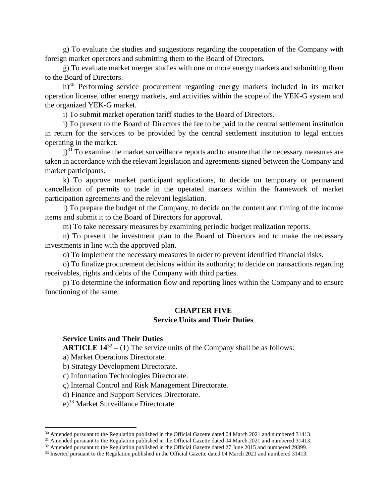g) To evaluate the studies and suggestions regarding the cooperation of the Company with foreign market operators and submitting them to the Board of Directors.

ğ) To evaluate market merger studies with one or more energy markets and submitting them to the Board of Directors.

h)<sup>30</sup> Performing service procurement regarding energy markets included in its market operation license, other energy markets, and activities within the scope of the YEK-G system and the organized YEK-G market.

ı) To submit market operation tariff studies to the Board of Directors.

i) To present to the Board of Directors the fee to be paid to the central settlement institution in return for the services to be provided by the central settlement institution to legal entities operating in the market.

 $j$ <sup>31</sup> To examine the market surveillance reports and to ensure that the necessary measures are taken in accordance with the relevant legislation and agreements signed between the Company and market participants.

k) To approve market participant applications, to decide on temporary or permanent cancellation of permits to trade in the operated markets within the framework of market participation agreements and the relevant legislation.

l) To prepare the budget of the Company, to decide on the content and timing of the income items and submit it to the Board of Directors for approval.

m) To take necessary measures by examining periodic budget realization reports.

n) To present the investment plan to the Board of Directors and to make the necessary investments in line with the approved plan.

o) To implement the necessary measures in order to prevent identified financial risks.

ö) To finalize procurement decisions within its authority; to decide on transactions regarding receivables, rights and debts of the Company with third parties.

p) To determine the information flow and reporting lines within the Company and to ensure functioning of the same.

## **CHAPTER FIVE Service Units and Their Duties**

## **Service Units and Their Duties**

**ARTICLE**  $14^{32} - (1)$  **The service units of the Company shall be as follows:** 

a) Market Operations Directorate.

b) Strategy Development Directorate.

c) Information Technologies Directorate.

ç) Internal Control and Risk Management Directorate.

d) Finance and Support Services Directorate.

e)<sup>33</sup> Market Surveillance Directorate.

 $\ddot{\phantom{a}}$ 

<sup>&</sup>lt;sup>30</sup> Amended pursuant to the Regulation published in the Official Gazette dated 04 March 2021 and numbered 31413.

<sup>&</sup>lt;sup>31</sup> Amended pursuant to the Regulation published in the Official Gazette dated 04 March 2021 and numbered 31413.

<sup>&</sup>lt;sup>32</sup> Amended pursuant to the Regulation published in the Official Gazette dated 27 June 2015 and numbered 29399.

<sup>&</sup>lt;sup>33</sup> Inserted pursuant to the Regulation published in the Official Gazette dated 04 March 2021 and numbered 31413.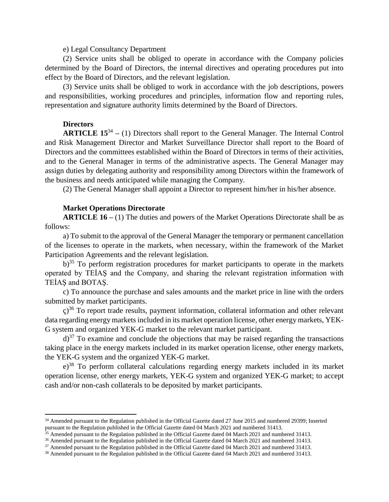#### e) Legal Consultancy Department

(2) Service units shall be obliged to operate in accordance with the Company policies determined by the Board of Directors, the internal directives and operating procedures put into effect by the Board of Directors, and the relevant legislation.

(3) Service units shall be obliged to work in accordance with the job descriptions, powers and responsibilities, working procedures and principles, information flow and reporting rules, representation and signature authority limits determined by the Board of Directors.

#### **Directors**

 $\overline{a}$ 

**ARTICLE 15<sup>34</sup> – (1) Directors shall report to the General Manager. The Internal Control** and Risk Management Director and Market Surveillance Director shall report to the Board of Directors and the committees established within the Board of Directors in terms of their activities, and to the General Manager in terms of the administrative aspects. The General Manager may assign duties by delegating authority and responsibility among Directors within the framework of the business and needs anticipated while managing the Company.

(2) The General Manager shall appoint a Director to represent him/her in his/her absence.

#### **Market Operations Directorate**

**ARTICLE 16 –** (1) The duties and powers of the Market Operations Directorate shall be as follows:

a) To submit to the approval of the General Manager the temporary or permanent cancellation of the licenses to operate in the markets, when necessary, within the framework of the Market Participation Agreements and the relevant legislation.

 $b$ <sup>35</sup> To perform registration procedures for market participants to operate in the markets operated by TEİAŞ and the Company, and sharing the relevant registration information with TEİAŞ and BOTAŞ.

c) To announce the purchase and sales amounts and the market price in line with the orders submitted by market participants.

 $\varsigma$ <sup>36</sup> To report trade results, payment information, collateral information and other relevant data regarding energy markets included in its market operation license, other energy markets, YEK-G system and organized YEK-G market to the relevant market participant.

 $d^{37}$  To examine and conclude the objections that may be raised regarding the transactions taking place in the energy markets included in its market operation license, other energy markets, the YEK-G system and the organized YEK-G market.

 $e^{38}$  To perform collateral calculations regarding energy markets included in its market operation license, other energy markets, YEK-G system and organized YEK-G market; to accept cash and/or non-cash collaterals to be deposited by market participants.

<sup>34</sup> Amended pursuant to the Regulation published in the Official Gazette dated 27 June 2015 and numbered 29399; Inserted pursuant to the Regulation published in the Official Gazette dated 04 March 2021 and numbered 31413.

 $35$  Amended pursuant to the Regulation published in the Official Gazette dated 04 March 2021 and numbered 31413.

<sup>&</sup>lt;sup>36</sup> Amended pursuant to the Regulation published in the Official Gazette dated 04 March 2021 and numbered 31413.

<sup>&</sup>lt;sup>37</sup> Amended pursuant to the Regulation published in the Official Gazette dated 04 March 2021 and numbered 31413.

<sup>&</sup>lt;sup>38</sup> Amended pursuant to the Regulation published in the Official Gazette dated 04 March 2021 and numbered 31413.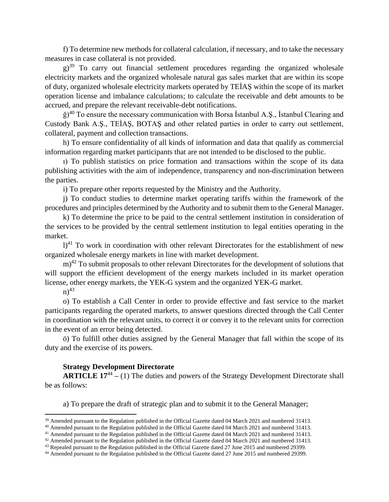f) To determine new methods for collateral calculation, if necessary, and to take the necessary measures in case collateral is not provided.

 $g$ <sup>39</sup> To carry out financial settlement procedures regarding the organized wholesale electricity markets and the organized wholesale natural gas sales market that are within its scope of duty, organized wholesale electricity markets operated by TEİAŞ within the scope of its market operation license and imbalance calculations; to calculate the receivable and debt amounts to be accrued, and prepare the relevant receivable-debt notifications.

 $\check{g}$ <sup>40</sup> To ensure the necessary communication with Borsa Istanbul A.Ş., Istanbul Clearing and Custody Bank A.Ş., TEİAŞ, BOTAŞ and other related parties in order to carry out settlement, collateral, payment and collection transactions.

h) To ensure confidentiality of all kinds of information and data that qualify as commercial information regarding market participants that are not intended to be disclosed to the public.

ı) To publish statistics on price formation and transactions within the scope of its data publishing activities with the aim of independence, transparency and non-discrimination between the parties.

i) To prepare other reports requested by the Ministry and the Authority.

j) To conduct studies to determine market operating tariffs within the framework of the procedures and principles determined by the Authority and to submit them to the General Manager.

k) To determine the price to be paid to the central settlement institution in consideration of the services to be provided by the central settlement institution to legal entities operating in the market.

 $l$ <sup>41</sup> To work in coordination with other relevant Directorates for the establishment of new organized wholesale energy markets in line with market development.

 $(m)^{42}$  To submit proposals to other relevant Directorates for the development of solutions that will support the efficient development of the energy markets included in its market operation license, other energy markets, the YEK-G system and the organized YEK-G market.

 $n)^{43}$ 

 $\overline{a}$ 

o) To establish a Call Center in order to provide effective and fast service to the market participants regarding the operated markets, to answer questions directed through the Call Center in coordination with the relevant units, to correct it or convey it to the relevant units for correction in the event of an error being detected.

ö) To fulfill other duties assigned by the General Manager that fall within the scope of its duty and the exercise of its powers.

## **Strategy Development Directorate**

**ARTICLE 17<sup>44</sup>** – (1) The duties and powers of the Strategy Development Directorate shall be as follows:

a) To prepare the draft of strategic plan and to submit it to the General Manager;

<sup>&</sup>lt;sup>39</sup> Amended pursuant to the Regulation published in the Official Gazette dated 04 March 2021 and numbered 31413.

<sup>&</sup>lt;sup>40</sup> Amended pursuant to the Regulation published in the Official Gazette dated 04 March 2021 and numbered 31413.

<sup>41</sup> Amended pursuant to the Regulation published in the Official Gazette dated 04 March 2021 and numbered 31413.

<sup>42</sup> Amended pursuant to the Regulation published in the Official Gazette dated 04 March 2021 and numbered 31413.

<sup>43</sup> Repealed pursuant to the Regulation published in the Official Gazette dated 27 June 2015 and numbered 29399.

<sup>44</sup> Amended pursuant to the Regulation published in the Official Gazette dated 27 June 2015 and numbered 29399.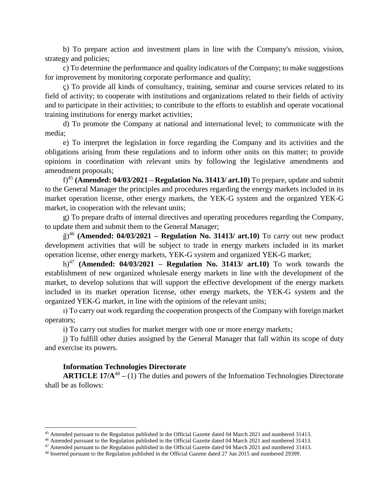b) To prepare action and investment plans in line with the Company's mission, vision, strategy and policies;

c) To determine the performance and quality indicators of the Company; to make suggestions for improvement by monitoring corporate performance and quality;

ç) To provide all kinds of consultancy, training, seminar and course services related to its field of activity; to cooperate with institutions and organizations related to their fields of activity and to participate in their activities; to contribute to the efforts to establish and operate vocational training institutions for energy market activities;

d) To promote the Company at national and international level; to communicate with the media;

e) To interpret the legislation in force regarding the Company and its activities and the obligations arising from these regulations and to inform other units on this matter; to provide opinions in coordination with relevant units by following the legislative amendments and amendment proposals;

f)<sup>45</sup> **(Amended: 04/03/2021 – Regulation No. 31413/ art.10)** To prepare, update and submit to the General Manager the principles and procedures regarding the energy markets included in its market operation license, other energy markets, the YEK-G system and the organized YEK-G market, in cooperation with the relevant units;

g) To prepare drafts of internal directives and operating procedures regarding the Company, to update them and submit them to the General Manager;

ğ)<sup>46</sup> **(Amended: 04/03/2021 – Regulation No. 31413/ art.10)** To carry out new product development activities that will be subject to trade in energy markets included in its market operation license, other energy markets, YEK-G system and organized YEK-G market;

h)<sup>47</sup> **(Amended: 04/03/2021 – Regulation No. 31413/ art.10)** To work towards the establishment of new organized wholesale energy markets in line with the development of the market, to develop solutions that will support the effective development of the energy markets included in its market operation license, other energy markets, the YEK-G system and the organized YEK-G market, in line with the opinions of the relevant units;

ı) To carry out work regarding the cooperation prospects of the Company with foreign market operators;

i) To carry out studies for market merger with one or more energy markets;

j) To fulfill other duties assigned by the General Manager that fall within its scope of duty and exercise its powers.

#### **Information Technologies Directorate**

 $\ddot{\phantom{a}}$ 

**ARTICLE 17/A<sup>48</sup>** – (1) The duties and powers of the Information Technologies Directorate shall be as follows:

<sup>45</sup> Amended pursuant to the Regulation published in the Official Gazette dated 04 March 2021 and numbered 31413.

<sup>46</sup> Amended pursuant to the Regulation published in the Official Gazette dated 04 March 2021 and numbered 31413.

<sup>47</sup> Amended pursuant to the Regulation published in the Official Gazette dated 04 March 2021 and numbered 31413.

<sup>48</sup> Inserted pursuant to the Regulation published in the Official Gazette dated 27 Jun 2015 and numbered 29399.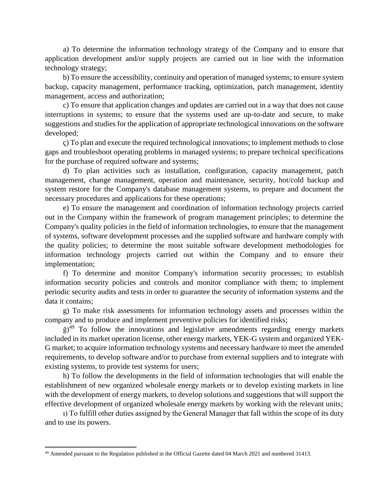a) To determine the information technology strategy of the Company and to ensure that application development and/or supply projects are carried out in line with the information technology strategy;

b) To ensure the accessibility, continuity and operation of managed systems; to ensure system backup, capacity management, performance tracking, optimization, patch management, identity management, access and authorization;

c) To ensure that application changes and updates are carried out in a way that does not cause interruptions in systems; to ensure that the systems used are up-to-date and secure, to make suggestions and studies for the application of appropriate technological innovations on the software developed;

ç) To plan and execute the required technological innovations; to implement methods to close gaps and troubleshoot operating problems in managed systems; to prepare technical specifications for the purchase of required software and systems;

d) To plan activities such as installation, configuration, capacity management, patch management, change management, operation and maintenance, security, hot/cold backup and system restore for the Company's database management systems, to prepare and document the necessary procedures and applications for these operations;

e) To ensure the management and coordination of information technology projects carried out in the Company within the framework of program management principles; to determine the Company's quality policies in the field of information technologies, to ensure that the management of systems, software development processes and the supplied software and hardware comply with the quality policies; to determine the most suitable software development methodologies for information technology projects carried out within the Company and to ensure their implementation;

f) To determine and monitor Company's information security processes; to establish information security policies and controls and monitor compliance with them; to implement periodic security audits and tests in order to guarantee the security of information systems and the data it contains;

g) To make risk assessments for information technology assets and processes within the company and to produce and implement preventive policies for identified risks;

 $\check{g}$ <sup>49</sup> To follow the innovations and legislative amendments regarding energy markets included in its market operation license, other energy markets, YEK-G system and organized YEK-G market; to acquire information technology systems and necessary hardware to meet the amended requirements, to develop software and/or to purchase from external suppliers and to integrate with existing systems, to provide test systems for users;

h) To follow the developments in the field of information technologies that will enable the establishment of new organized wholesale energy markets or to develop existing markets in line with the development of energy markets, to develop solutions and suggestions that will support the effective development of organized wholesale energy markets by working with the relevant units;

ı) To fulfill other duties assigned by the General Manager that fall within the scope of its duty and to use its powers.

 $\overline{a}$ 

<sup>&</sup>lt;sup>49</sup> Amended pursuant to the Regulation published in the Official Gazette dated 04 March 2021 and numbered 31413.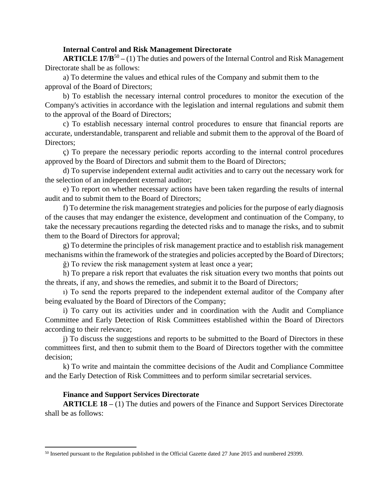#### **Internal Control and Risk Management Directorate**

**ARTICLE 17/B<sup>50</sup>** – (1) The duties and powers of the Internal Control and Risk Management Directorate shall be as follows:

a) To determine the values and ethical rules of the Company and submit them to the approval of the Board of Directors;

b) To establish the necessary internal control procedures to monitor the execution of the Company's activities in accordance with the legislation and internal regulations and submit them to the approval of the Board of Directors;

c) To establish necessary internal control procedures to ensure that financial reports are accurate, understandable, transparent and reliable and submit them to the approval of the Board of Directors;

ç) To prepare the necessary periodic reports according to the internal control procedures approved by the Board of Directors and submit them to the Board of Directors;

d) To supervise independent external audit activities and to carry out the necessary work for the selection of an independent external auditor;

e) To report on whether necessary actions have been taken regarding the results of internal audit and to submit them to the Board of Directors;

f) To determine the risk management strategies and policies for the purpose of early diagnosis of the causes that may endanger the existence, development and continuation of the Company, to take the necessary precautions regarding the detected risks and to manage the risks, and to submit them to the Board of Directors for approval;

g) To determine the principles of risk management practice and to establish risk management mechanisms within the framework of the strategies and policies accepted by the Board of Directors;

ğ) To review the risk management system at least once a year;

h) To prepare a risk report that evaluates the risk situation every two months that points out the threats, if any, and shows the remedies, and submit it to the Board of Directors;

ı) To send the reports prepared to the independent external auditor of the Company after being evaluated by the Board of Directors of the Company;

i) To carry out its activities under and in coordination with the Audit and Compliance Committee and Early Detection of Risk Committees established within the Board of Directors according to their relevance;

j) To discuss the suggestions and reports to be submitted to the Board of Directors in these committees first, and then to submit them to the Board of Directors together with the committee decision;

k) To write and maintain the committee decisions of the Audit and Compliance Committee and the Early Detection of Risk Committees and to perform similar secretarial services.

#### **Finance and Support Services Directorate**

 $\overline{a}$ 

**ARTICLE 18 –** (1) The duties and powers of the Finance and Support Services Directorate shall be as follows:

<sup>50</sup> Inserted pursuant to the Regulation published in the Official Gazette dated 27 June 2015 and numbered 29399.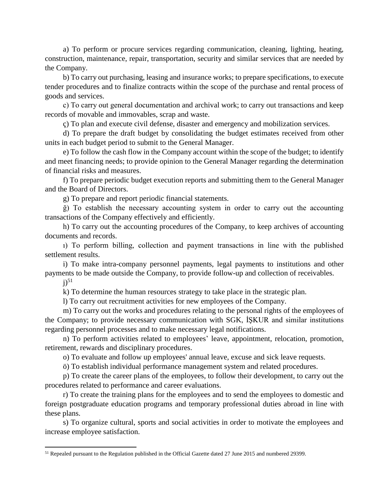a) To perform or procure services regarding communication, cleaning, lighting, heating, construction, maintenance, repair, transportation, security and similar services that are needed by the Company.

b) To carry out purchasing, leasing and insurance works; to prepare specifications, to execute tender procedures and to finalize contracts within the scope of the purchase and rental process of goods and services.

с) To carry out general documentation and archival work; to carry out transactions and keep records of movable and immovables, scrap and waste.

ç) To plan and execute civil defense, disaster and emergency and mobilization services.

d) To prepare the draft budget by consolidating the budget estimates received from other units in each budget period to submit to the General Manager.

e) To follow the cash flow in the Company account within the scope of the budget; to identify and meet financing needs; to provide opinion to the General Manager regarding the determination of financial risks and measures.

f) To prepare periodic budget execution reports and submitting them to the General Manager and the Board of Directors.

g) To prepare and report periodic financial statements.

ğ) To establish the necessary accounting system in order to carry out the accounting transactions of the Company effectively and efficiently.

h) To carry out the accounting procedures of the Company, to keep archives of accounting documents and records.

ı) To perform billing, collection and payment transactions in line with the published settlement results.

i) To make intra-company personnel payments, legal payments to institutions and other payments to be made outside the Company, to provide follow-up and collection of receivables.

 $i$ <sup>51</sup>

 $\overline{a}$ 

k) To determine the human resources strategy to take place in the strategic plan.

l) To carry out recruitment activities for new employees of the Company.

m) To carry out the works and procedures relating to the personal rights of the employees of the Company; to provide necessary communication with SGK, İŞKUR and similar institutions regarding personnel processes and to make necessary legal notifications.

n) To perform activities related to employees' leave, appointment, relocation, promotion, retirement, rewards and disciplinary procedures.

o) To evaluate and follow up employees' annual leave, excuse and sick leave requests.

ö) To establish individual performance management system and related procedures.

p) To create the career plans of the employees, to follow their development, to carry out the procedures related to performance and career evaluations.

r) To create the training plans for the employees and to send the employees to domestic and foreign postgraduate education programs and temporary professional duties abroad in line with these plans.

s) To organize cultural, sports and social activities in order to motivate the employees and increase employee satisfaction.

<sup>51</sup> Repealed pursuant to the Regulation published in the Official Gazette dated 27 June 2015 and numbered 29399.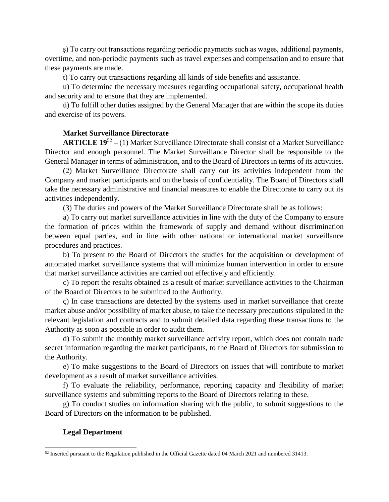ş) To carry out transactions regarding periodic payments such as wages, additional payments, overtime, and non-periodic payments such as travel expenses and compensation and to ensure that these payments are made.

t) To carry out transactions regarding all kinds of side benefits and assistance.

u) To determine the necessary measures regarding occupational safety, occupational health and security and to ensure that they are implemented.

ü) To fulfill other duties assigned by the General Manager that are within the scope its duties and exercise of its powers.

# **Market Surveillance Directorate**

**ARTICLE 19**<sup>52</sup> **–** (1) Market Surveillance Directorate shall consist of a Market Surveillance Director and enough personnel. The Market Surveillance Director shall be responsible to the General Manager in terms of administration, and to the Board of Directors in terms of its activities.

(2) Market Surveillance Directorate shall carry out its activities independent from the Company and market participants and on the basis of confidentiality. The Board of Directors shall take the necessary administrative and financial measures to enable the Directorate to carry out its activities independently.

(3) The duties and powers of the Market Surveillance Directorate shall be as follows:

a) To carry out market surveillance activities in line with the duty of the Company to ensure the formation of prices within the framework of supply and demand without discrimination between equal parties, and in line with other national or international market surveillance procedures and practices.

b) To present to the Board of Directors the studies for the acquisition or development of automated market surveillance systems that will minimize human intervention in order to ensure that market surveillance activities are carried out effectively and efficiently.

c) To report the results obtained as a result of market surveillance activities to the Chairman of the Board of Directors to be submitted to the Authority.

ç) In case transactions are detected by the systems used in market surveillance that create market abuse and/or possibility of market abuse, to take the necessary precautions stipulated in the relevant legislation and contracts and to submit detailed data regarding these transactions to the Authority as soon as possible in order to audit them.

d) To submit the monthly market surveillance activity report, which does not contain trade secret information regarding the market participants, to the Board of Directors for submission to the Authority.

e) To make suggestions to the Board of Directors on issues that will contribute to market development as a result of market surveillance activities.

f) To evaluate the reliability, performance, reporting capacity and flexibility of market surveillance systems and submitting reports to the Board of Directors relating to these.

g) To conduct studies on information sharing with the public, to submit suggestions to the Board of Directors on the information to be published.

# **Legal Department**

 $\overline{a}$  $52$  Inserted pursuant to the Regulation published in the Official Gazette dated 04 March 2021 and numbered 31413.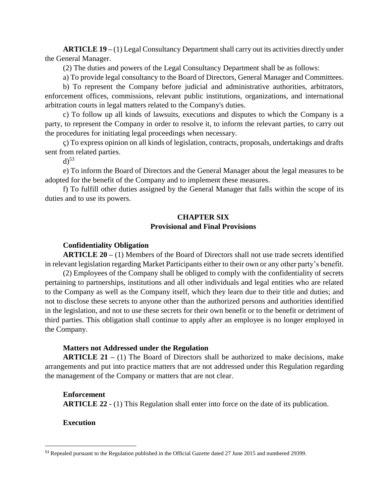**ARTICLE 19 –** (1) Legal Consultancy Department shall carry out its activities directly under the General Manager.

(2) The duties and powers of the Legal Consultancy Department shall be as follows:

a) To provide legal consultancy to the Board of Directors, General Manager and Committees.

b) To represent the Company before judicial and administrative authorities, arbitrators, enforcement offices, commissions, relevant public institutions, organizations, and international arbitration courts in legal matters related to the Company's duties.

c) To follow up all kinds of lawsuits, executions and disputes to which the Company is a party, to represent the Company in order to resolve it, to inform the relevant parties, to carry out the procedures for initiating legal proceedings when necessary.

ç) To express opinion on all kinds of legislation, contracts, proposals, undertakings and drafts sent from related parties.

 $d$ <sup>53</sup>

e) To inform the Board of Directors and the General Manager about the legal measures to be adopted for the benefit of the Company and to implement these measures.

f) To fulfill other duties assigned by the General Manager that falls within the scope of its duties and to use its powers.

# **CHAPTER SIX Provisional and Final Provisions**

### **Confidentiality Obligation**

**ARTICLE 20 –** (1) Members of the Board of Directors shall not use trade secrets identified in relevant legislation regarding Market Participants either to their own or any other party's benefit.

(2) Employees of the Company shall be obliged to comply with the confidentiality of secrets pertaining to partnerships, institutions and all other individuals and legal entities who are related to the Company as well as the Company itself, which they learn due to their title and duties; and not to disclose these secrets to anyone other than the authorized persons and authorities identified in the legislation, and not to use these secrets for their own benefit or to the benefit or detriment of third parties. This obligation shall continue to apply after an employee is no longer employed in the Company.

#### **Matters not Addressed under the Regulation**

**ARTICLE 21 –** (1) The Board of Directors shall be authorized to make decisions, make arrangements and put into practice matters that are not addressed under this Regulation regarding the management of the Company or matters that are not clear.

## **Enforcement**

**ARTICLE 22 -** (1) This Regulation shall enter into force on the date of its publication.

### **Execution**

 $\overline{a}$ 

<sup>&</sup>lt;sup>53</sup> Repealed pursuant to the Regulation published in the Official Gazette dated 27 June 2015 and numbered 29399.